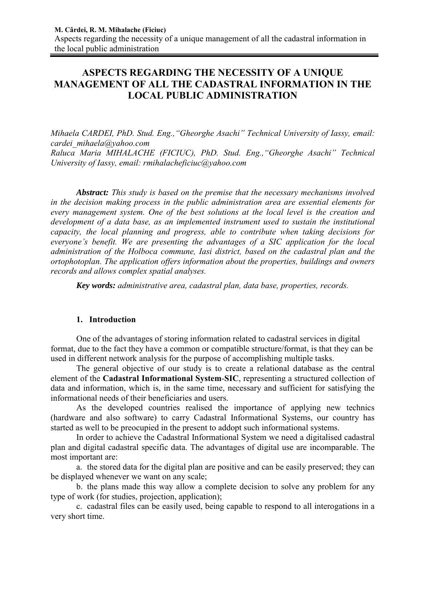# **ASPECTS REGARDING THE NECESSITY OF A UNIQUE MANAGEMENT OF ALL THE CADASTRAL INFORMATION IN THE LOCAL PUBLIC ADMINISTRATION**

*Mihaela CARDEI, PhD. Stud. Eng.,"Gheorghe Asachi" Technical University of Iassy, email: cardei\_mihaela@yahoo.com Raluca Maria MIHALACHE (FICIUC), PhD. Stud. Eng.,"Gheorghe Asachi" Technical University of Iassy, email: rmihalacheficiuc@yahoo.com* 

*Abstract: This study is based on the premise that the necessary mechanisms involved in the decision making process in the public administration area are essential elements for every management system. One of the best solutions at the local level is the creation and development of a data base, as an implemented instrument used to sustain the institutional capacity, the local planning and progress, able to contribute when taking decisions for everyone's benefit. We are presenting the advantages of a SIC application for the local administration of the Holboca commune, Iasi district, based on the cadastral plan and the ortophotoplan. The application offers information about the properties, buildings and owners records and allows complex spatial analyses.*

*Key words: administrative area, cadastral plan, data base, properties, records.* 

## **1. Introduction**

One of the advantages of storing information related to cadastral services in digital format, due to the fact they have a common or compatible structure/format, is that they can be used in different network analysis for the purpose of accomplishing multiple tasks.

The general objective of our study is to create a relational database as the central element of the **Cadastral Informational System**-**SIC**, representing a structured collection of data and information, which is, in the same time, necessary and sufficient for satisfying the informational needs of their beneficiaries and users.

As the developed countries realised the importance of applying new technics (hardware and also software) to carry Cadastral Informational Systems, our country has started as well to be preocupied in the present to addopt such informational systems.

In order to achieve the Cadastral Informational System we need a digitalised cadastral plan and digital cadastral specific data. The advantages of digital use are incomparable. The most important are:

a. the stored data for the digital plan are positive and can be easily preserved; they can be displayed whenever we want on any scale;

b. the plans made this way allow a complete decision to solve any problem for any type of work (for studies, projection, application);

c. cadastral files can be easily used, being capable to respond to all interogations in a very short time.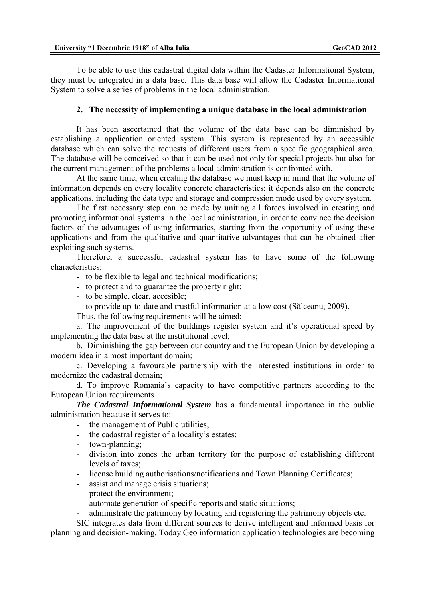To be able to use this cadastral digital data within the Cadaster Informational System, they must be integrated in a data base. This data base will allow the Cadaster Informational System to solve a series of problems in the local administration.

### **2. The necessity of implementing a unique database in the local administration**

It has been ascertained that the volume of the data base can be diminished by establishing a application oriented system. This system is represented by an accessible database which can solve the requests of different users from a specific geographical area. The database will be conceived so that it can be used not only for special projects but also for the current management of the problems a local administration is confronted with.

At the same time, when creating the database we must keep in mind that the volume of information depends on every locality concrete characteristics; it depends also on the concrete applications, including the data type and storage and compression mode used by every system.

The first necessary step can be made by uniting all forces involved in creating and promoting informational systems in the local administration, in order to convince the decision factors of the advantages of using informatics, starting from the opportunity of using these applications and from the qualitative and quantitative advantages that can be obtained after exploiting such systems.

Therefore, a successful cadastral system has to have some of the following characteristics:

- to be flexible to legal and technical modifications;

- to protect and to guarantee the property right;

- to be simple, clear, accesible;
- to provide up-to-date and trustful information at a low cost (Sălceanu, 2009).

Thus, the following requirements will be aimed:

a. The improvement of the buildings register system and it's operational speed by implementing the data base at the institutional level;

b. Diminishing the gap between our country and the European Union by developing a modern idea in a most important domain;

c. Developing a favourable partnership with the interested institutions in order to modernize the cadastral domain;

d. To improve Romania's capacity to have competitive partners according to the European Union requirements.

*The Cadastral Informational System* has a fundamental importance in the public administration because it serves to:

- the management of Public utilities:
- the cadastral register of a locality's estates;
- town-planning;
- division into zones the urban territory for the purpose of establishing different levels of taxes;
- license building authorisations/notifications and Town Planning Certificates;
- assist and manage crisis situations;
- protect the environment;
- automate generation of specific reports and static situations;
- administrate the patrimony by locating and registering the patrimony objects etc.

SIC integrates data from different sources to derive intelligent and informed basis for planning and decision-making. Today Geo information application technologies are becoming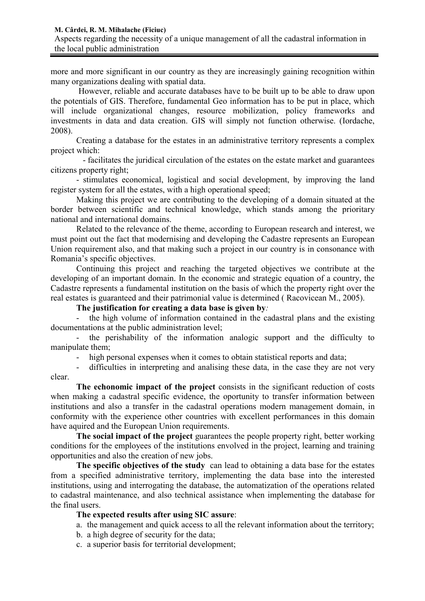more and more significant in our country as they are increasingly gaining recognition within many organizations dealing with spatial data.

 However, reliable and accurate databases have to be built up to be able to draw upon the potentials of GIS. Therefore, fundamental Geo information has to be put in place, which will include organizational changes, resource mobilization, policy frameworks and investments in data and data creation. GIS will simply not function otherwise. (Iordache, 2008).

Creating a database for the estates in an administrative territory represents a complex project which:

 - facilitates the juridical circulation of the estates on the estate market and guarantees citizens property right;

- stimulates economical, logistical and social development, by improving the land register system for all the estates, with a high operational speed;

Making this project we are contributing to the developing of a domain situated at the border between scientific and technical knowledge, which stands among the prioritary national and international domains.

Related to the relevance of the theme, according to European research and interest, we must point out the fact that modernising and developing the Cadastre represents an European Union requirement also, and that making such a project in our country is in consonance with Romania's specific objectives.

Continuing this project and reaching the targeted objectives we contribute at the developing of an important domain. In the economic and strategic equation of a country, the Cadastre represents a fundamental institution on the basis of which the property right over the real estates is guaranteed and their patrimonial value is determined ( Racovicean M., 2005).

**The justification for creating a data base is given by***:* 

- the high volume of information contained in the cadastral plans and the existing documentations at the public administration level;

- the perishability of the information analogic support and the difficulty to manipulate them;

high personal expenses when it comes to obtain statistical reports and data;

difficulties in interpreting and analising these data, in the case they are not very clear.

**The echonomic impact of the project** consists in the significant reduction of costs when making a cadastral specific evidence, the oportunity to transfer information between institutions and also a transfer in the cadastral operations modern management domain, in conformity with the experience other countries with excellent performances in this domain have aquired and the European Union requirements.

**The social impact of the project** guarantees the people property right, better working conditions for the employees of the institutions envolved in the project, learning and training opportunities and also the creation of new jobs.

**The specific objectives of the study** can lead to obtaining a data base for the estates from a specified administrative territory, implementing the data base into the interested institutions, using and interrogating the database, the automatization of the operations related to cadastral maintenance, and also technical assistance when implementing the database for the final users.

### **The expected results after using SIC assure**:

- a. the management and quick access to all the relevant information about the territory;
- b. a high degree of security for the data;
- c. a superior basis for territorial development;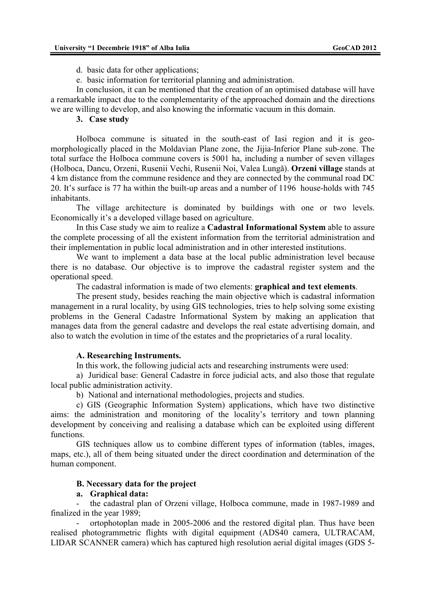d. basic data for other applications;

e. basic information for territorial planning and administration.

In conclusion, it can be mentioned that the creation of an optimised database will have a remarkable impact due to the complementarity of the approached domain and the directions we are willing to develop, and also knowing the informatic vacuum in this domain.

#### **3. Case study**

Holboca commune is situated in the south-east of Iasi region and it is geomorphologically placed in the Moldavian Plane zone, the Jijia-Inferior Plane sub-zone. The total surface the Holboca commune covers is 5001 ha, including a number of seven villages (Holboca, Dancu, Orzeni, Rusenii Vechi, Rusenii Noi, Valea Lungă). **Orzeni village** stands at 4 km distance from the commune residence and they are connected by the communal road DC 20. It's surface is 77 ha within the built-up areas and a number of 1196 house-holds with 745 inhabitants.

The village architecture is dominated by buildings with one or two levels. Economically it's a developed village based on agriculture.

In this Case study we aim to realize a **Cadastral Informational System** able to assure the complete processing of all the existent information from the territorial administration and their implementation in public local administration and in other interested institutions.

We want to implement a data base at the local public administration level because there is no database. Our objective is to improve the cadastral register system and the operational speed.

The cadastral information is made of two elements: **graphical and text elements**.

The present study, besides reaching the main objective which is cadastral information management in a rural locality, by using GIS technologies, tries to help solving some existing problems in the General Cadastre Informational System by making an application that manages data from the general cadastre and develops the real estate advertising domain, and also to watch the evolution in time of the estates and the proprietaries of a rural locality.

### **A. Researching Instruments.**

In this work, the following judicial acts and researching instruments were used:

a) Juridical base: General Cadastre in force judicial acts, and also those that regulate local public administration activity.

b) National and international methodologies, projects and studies.

c) GIS (Geographic Information System) applications, which have two distinctive aims: the administration and monitoring of the locality's territory and town planning development by conceiving and realising a database which can be exploited using different functions.

GIS techniques allow us to combine different types of information (tables, images, maps, etc.), all of them being situated under the direct coordination and determination of the human component.

### **B. Necessary data for the project**

### **a. Graphical data:**

the cadastral plan of Orzeni village, Holboca commune, made in 1987-1989 and finalized in the year 1989;

- ortophotoplan made in 2005-2006 and the restored digital plan. Thus have been realised photogrammetric flights with digital equipment (ADS40 camera, ULTRACAM, LIDAR SCANNER camera) which has captured high resolution aerial digital images (GDS 5-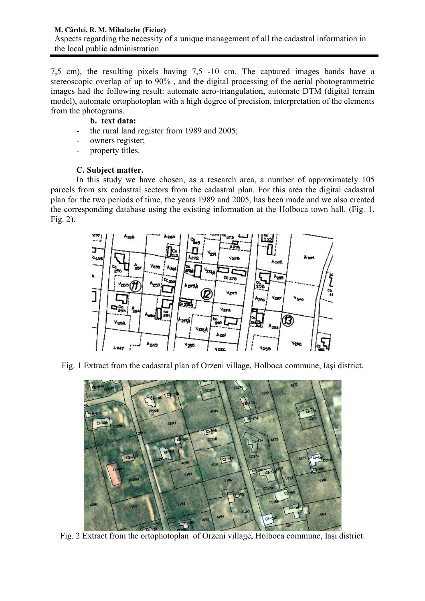7,5 cm), the resulting pixels having 7,5 -10 cm. The captured images bands have a stereoscopic overlap of up to 90% , and the digital processing of the aerial photogrammetric images had the following result: automate aero-triangulation, automate DTM (digital terrain model), automate ortophotoplan with a high degree of precision, interpretation of the elements from the photograms.

## **b. text data:**

- the rural land register from 1989 and 2005;
- owners register;
- property titles.

## **C. Subject matter.**

In this study we have chosen, as a research area, a number of approximately 105 parcels from six cadastral sectors from the cadastral plan. For this area the digital cadastral plan for the two periods of time, the years 1989 and 2005, has been made and we also created the corresponding database using the existing information at the Holboca town hall. (Fig. 1, Fig. 2).



Fig. 1 Extract from the cadastral plan of Orzeni village, Holboca commune, Iaşi district.



Fig. 2 Extract from the ortophotoplan of Orzeni village, Holboca commune, Iaşi district.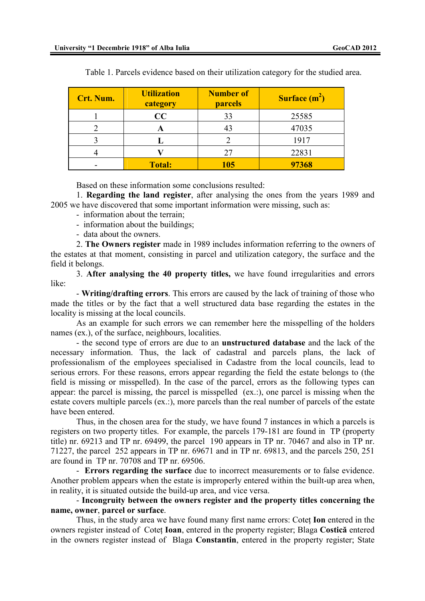| Crt. Num. | <b>Utilization</b><br>category | <b>Number of</b><br><b>parcels</b> | Surface $(m^2)$ |
|-----------|--------------------------------|------------------------------------|-----------------|
|           | CC                             | 33                                 | 25585           |
|           | A                              |                                    | 47035           |
|           |                                |                                    | 1917            |
|           |                                | 27                                 | 22831           |
|           | <b>Total:</b>                  | 105                                | 97368           |

Table 1. Parcels evidence based on their utilization category for the studied area.

Based on these information some conclusions resulted:

1. **Regarding the land register**, after analysing the ones from the years 1989 and 2005 we have discovered that some important information were missing, such as:

- information about the terrain;
- information about the buildings;
- data about the owners.

2. **The Owners register** made in 1989 includes information referring to the owners of the estates at that moment, consisting in parcel and utilization category, the surface and the field it belongs.

3. **After analysing the 40 property titles,** we have found irregularities and errors like:

- **Writing/drafting errors**. This errors are caused by the lack of training of those who made the titles or by the fact that a well structured data base regarding the estates in the locality is missing at the local councils.

As an example for such errors we can remember here the misspelling of the holders names (ex.), of the surface, neighbours, localities.

- the second type of errors are due to an **unstructured database** and the lack of the necessary information. Thus, the lack of cadastral and parcels plans, the lack of professionalism of the employees specialised in Cadastre from the local councils, lead to serious errors. For these reasons, errors appear regarding the field the estate belongs to (the field is missing or misspelled). In the case of the parcel, errors as the following types can appear: the parcel is missing, the parcel is misspelled (ex.:), one parcel is missing when the estate covers multiple parcels (ex.:), more parcels than the real number of parcels of the estate have been entered.

Thus, in the chosen area for the study, we have found 7 instances in which a parcels is registers on two property titles. For example, the parcels 179-181 are found in TP (property title) nr. 69213 and TP nr. 69499, the parcel 190 appears in TP nr. 70467 and also in TP nr. 71227, the parcel 252 appears in TP nr. 69671 and in TP nr. 69813, and the parcels 250, 251 are found in TP nr. 70708 and TP nr. 69506.

- **Errors regarding the surface** due to incorrect measurements or to false evidence. Another problem appears when the estate is improperly entered within the built-up area when, in reality, it is situated outside the build-up area, and vice versa.

- **Incongruity between the owners register and the property titles concerning the name, owner**, **parcel or surface**.

Thus, in the study area we have found many first name errors: Cotet **Ion** entered in the owners register instead of Coteţ **Ioan**, entered in the property register; Blaga **Costică** entered in the owners register instead of Blaga **Constantin**, entered in the property register; State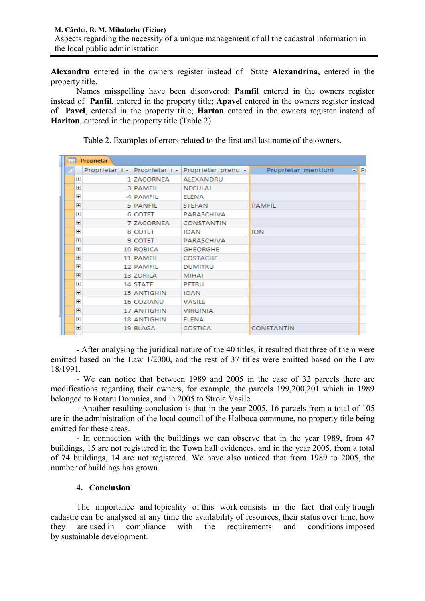**Alexandru** entered in the owners register instead of State **Alexandrina**, entered in the property title.

Names misspelling have been discovered: **Pamfil** entered in the owners register instead of **Panfil**, entered in the property title; **Apavel** entered in the owners register instead of **Pavel**, entered in the property title; **Harton** entered in the owners register instead of **Hariton**, entered in the property title (Table 2).

| 亜 |                | Proprietar |                               |                    |                     |       |
|---|----------------|------------|-------------------------------|--------------------|---------------------|-------|
|   |                |            | Proprietar i - Proprietar I - | Proprietar prenu - | Proprietar mentiuni | – IPi |
|   | $\overline{+}$ |            | 1 ZACORNEA                    | ALEXANDRU          |                     |       |
|   | $\overline{+}$ |            | 3 PAMFIL                      | <b>NECULAI</b>     |                     |       |
|   | $\overline{+}$ |            | 4 PAMFIL                      | <b>ELENA</b>       |                     |       |
|   | $\overline{+}$ |            | <b>5 PANFIL</b>               | <b>STEFAN</b>      | <b>PAMFIL</b>       |       |
|   | $\overline{+}$ |            | 6 COTET                       | PARASCHIVA         |                     |       |
|   | $\overline{+}$ |            | 7 ZACORNEA                    | <b>CONSTANTIN</b>  |                     |       |
|   | $\overline{+}$ |            | 8 COTET                       | <b>IOAN</b>        | <b>ION</b>          |       |
|   | $\overline{+}$ |            | 9 COTET                       | PARASCHIVA         |                     |       |
|   | $\overline{+}$ |            | 10 ROBICA                     | <b>GHEORGHE</b>    |                     |       |
|   | $\overline{+}$ |            | 11 PAMFIL                     | <b>COSTACHE</b>    |                     |       |
|   | $\overline{+}$ |            | 12 PAMFIL                     | <b>DUMITRU</b>     |                     |       |
|   | $\overline{+}$ |            | 13 ZORILA                     | <b>MIHAI</b>       |                     |       |
|   | $\overline{+}$ |            | 14 STATE                      | PETRU              |                     |       |
|   | $\overline{+}$ |            | 15 ANTIGHIN                   | <b>IOAN</b>        |                     |       |
|   | $\overline{+}$ |            | 16 COZIANU                    | <b>VASILE</b>      |                     |       |
|   | $\overline{+}$ |            | 17 ANTIGHIN                   | <b>VIRGINIA</b>    |                     |       |
|   | $\overline{+}$ |            | 18 ANTIGHIN                   | <b>ELENA</b>       |                     |       |
|   | $\overline{+}$ |            | 19 BLAGA                      | <b>COSTICA</b>     | <b>CONSTANTIN</b>   |       |
|   |                |            |                               |                    |                     |       |

Table 2. Examples of errors related to the first and last name of the owners.

- After analysing the juridical nature of the 40 titles, it resulted that three of them were emitted based on the Law 1/2000, and the rest of 37 titles were emitted based on the Law 18/1991.

- We can notice that between 1989 and 2005 in the case of 32 parcels there are modifications regarding their owners, for example, the parcels 199,200,201 which in 1989 belonged to Rotaru Domnica, and in 2005 to Stroia Vasile.

- Another resulting conclusion is that in the year 2005, 16 parcels from a total of 105 are in the administration of the local council of the Holboca commune, no property title being emitted for these areas.

- In connection with the buildings we can observe that in the year 1989, from 47 buildings, 15 are not registered in the Town hall evidences, and in the year 2005, from a total of 74 buildings, 14 are not registered. We have also noticed that from 1989 to 2005, the number of buildings has grown.

### **4. Conclusion**

The importance and topicality of this work consists in the fact that only trough cadastre can be analysed at any time the availability of resources, their status over time, how they are used in compliance with the requirements and conditions imposed by sustainable development.